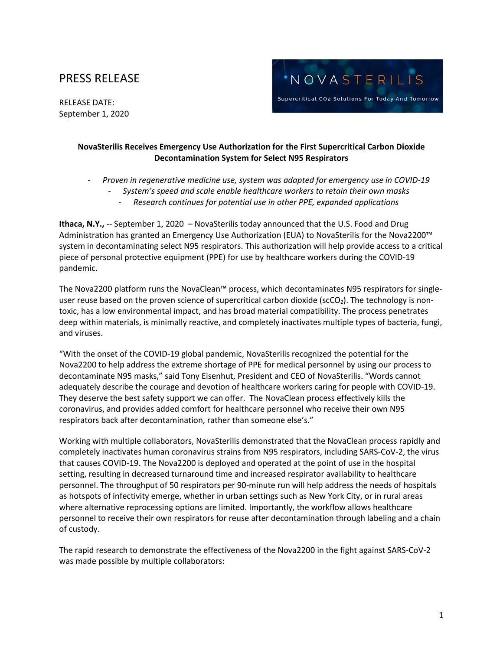## PRESS RELEASE

RELEASE DATE: September 1, 2020



## **NovaSterilis Receives Emergency Use Authorization for the First Supercritical Carbon Dioxide Decontamination System for Select N95 Respirators**

- *Proven in regenerative medicine use, system was adapted for emergency use in COVID-19*

- *System's speed and scale enable healthcare workers to retain their own masks*
	- *Research continues for potential use in other PPE, expanded applications*

**Ithaca, N.Y.,** -- September 1, 2020 – NovaSterilis today announced that the U.S. Food and Drug Administration has granted an Emergency Use Authorization (EUA) to NovaSterilis for the Nova2200™ system in decontaminating select N95 respirators. This authorization will help provide access to a critical piece of personal protective equipment (PPE) for use by healthcare workers during the COVID-19 pandemic.

The Nova2200 platform runs the NovaClean™ process, which decontaminates N95 respirators for singleuser reuse based on the proven science of supercritical carbon dioxide ( $\text{scCO}_2$ ). The technology is nontoxic, has a low environmental impact, and has broad material compatibility. The process penetrates deep within materials, is minimally reactive, and completely inactivates multiple types of bacteria, fungi, and viruses.

"With the onset of the COVID-19 global pandemic, NovaSterilis recognized the potential for the Nova2200 to help address the extreme shortage of PPE for medical personnel by using our process to decontaminate N95 masks," said Tony Eisenhut, President and CEO of NovaSterilis. "Words cannot adequately describe the courage and devotion of healthcare workers caring for people with COVID-19. They deserve the best safety support we can offer. The NovaClean process effectively kills the coronavirus, and provides added comfort for healthcare personnel who receive their own N95 respirators back after decontamination, rather than someone else's."

Working with multiple collaborators, NovaSterilis demonstrated that the NovaClean process rapidly and completely inactivates human coronavirus strains from N95 respirators, including SARS-CoV-2, the virus that causes COVID-19. The Nova2200 is deployed and operated at the point of use in the hospital setting, resulting in decreased turnaround time and increased respirator availability to healthcare personnel. The throughput of 50 respirators per 90-minute run will help address the needs of hospitals as hotspots of infectivity emerge, whether in urban settings such as New York City, or in rural areas where alternative reprocessing options are limited. Importantly, the workflow allows healthcare personnel to receive their own respirators for reuse after decontamination through labeling and a chain of custody.

The rapid research to demonstrate the effectiveness of the Nova2200 in the fight against SARS-CoV-2 was made possible by multiple collaborators: